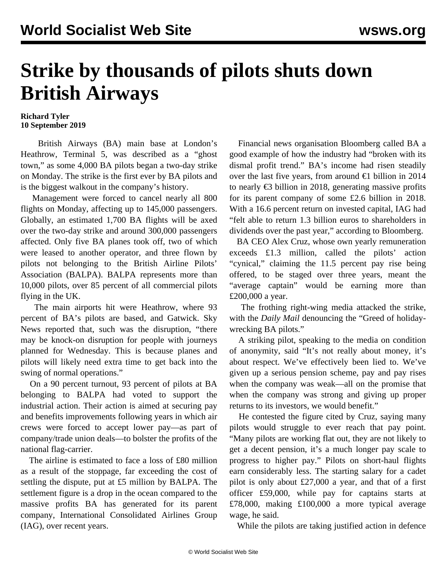## **Strike by thousands of pilots shuts down British Airways**

## **Richard Tyler 10 September 2019**

 British Airways (BA) main base at London's Heathrow, Terminal 5, was described as a "ghost town," as some 4,000 BA pilots began a two-day strike on Monday. The strike is the first ever by BA pilots and is the biggest walkout in the company's history.

 Management were forced to cancel nearly all 800 flights on Monday, affecting up to 145,000 passengers. Globally, an estimated 1,700 BA flights will be axed over the two-day strike and around 300,000 passengers affected. Only five BA planes took off, two of which were leased to another operator, and three flown by pilots not belonging to the British Airline Pilots' Association (BALPA). BALPA represents more than 10,000 pilots, over 85 percent of all commercial pilots flying in the UK.

 The main airports hit were Heathrow, where 93 percent of BA's pilots are based, and Gatwick. Sky News reported that, such was the disruption, "there may be knock-on disruption for people with journeys planned for Wednesday. This is because planes and pilots will likely need extra time to get back into the swing of normal operations."

 On a 90 percent turnout, 93 percent of pilots at BA belonging to BALPA had voted to support the industrial action. Their action is aimed at securing pay and benefits improvements following years in which air crews were forced to accept lower pay—as part of company/trade union deals—to bolster the profits of the national flag-carrier.

 The airline is estimated to face a loss of £80 million as a result of the stoppage, far exceeding the cost of settling the dispute, put at £5 million by BALPA. The settlement figure is a drop in the ocean compared to the massive profits BA has generated for its parent company, International Consolidated Airlines Group (IAG), over recent years.

 Financial news organisation Bloomberg called BA a good example of how the industry had "broken with its dismal profit trend." BA's income had risen steadily over the last five years, from around  $\epsilon$ 1 billion in 2014 to nearly €3 billion in 2018, generating massive profits for its parent company of some £2.6 billion in 2018. With a 16.6 percent return on invested capital, IAG had "felt able to return 1.3 billion euros to shareholders in dividends over the past year," according to Bloomberg.

 BA CEO Alex Cruz, whose own yearly remuneration exceeds £1.3 million, called the pilots' action "cynical," claiming the 11.5 percent pay rise being offered, to be staged over three years, meant the "average captain" would be earning more than £200,000 a year.

 The frothing right-wing media attacked the strike, with the *Daily Mail* denouncing the "Greed of holidaywrecking BA pilots."

 A striking pilot, speaking to the media on condition of anonymity, said "It's not really about money, it's about respect. We've effectively been lied to. We've given up a serious pension scheme, pay and pay rises when the company was weak—all on the promise that when the company was strong and giving up proper returns to its investors, we would benefit."

 He contested the figure cited by Cruz, saying many pilots would struggle to ever reach that pay point. "Many pilots are working flat out, they are not likely to get a decent pension, it's a much longer pay scale to progress to higher pay." Pilots on short-haul flights earn considerably less. The starting salary for a cadet pilot is only about £27,000 a year, and that of a first officer £59,000, while pay for captains starts at £78,000, making £100,000 a more typical average wage, he said.

While the pilots are taking justified action in defence